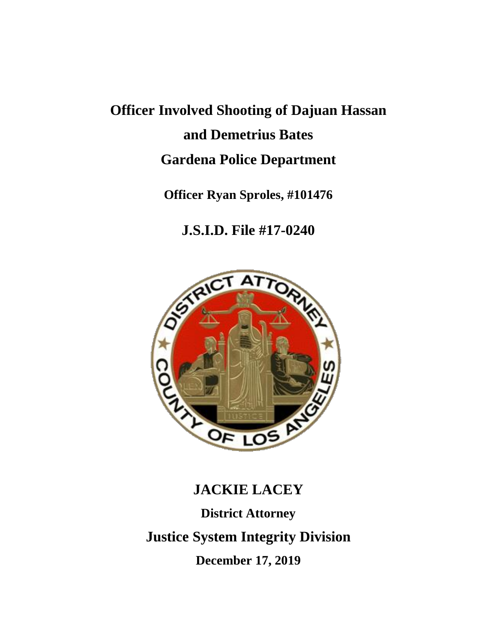# **Officer Involved Shooting of Dajuan Hassan and Demetrius Bates Gardena Police Department**

### **Officer Ryan Sproles, #101476**

# **J.S.I.D. File #17-0240**



## **JACKIE LACEY**

**District Attorney Justice System Integrity Division December 17, 2019**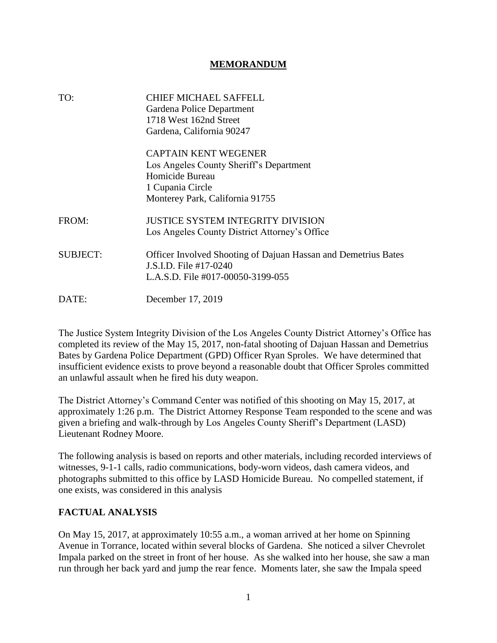#### **MEMORANDUM**

| TO:             | <b>CHIEF MICHAEL SAFFELL</b><br>Gardena Police Department<br>1718 West 162nd Street<br>Gardena, California 90247 |
|-----------------|------------------------------------------------------------------------------------------------------------------|
|                 | <b>CAPTAIN KENT WEGENER</b><br>Los Angeles County Sheriff's Department                                           |
|                 | Homicide Bureau                                                                                                  |
|                 | 1 Cupania Circle                                                                                                 |
|                 | Monterey Park, California 91755                                                                                  |
| FROM:           | <b>JUSTICE SYSTEM INTEGRITY DIVISION</b>                                                                         |
|                 | Los Angeles County District Attorney's Office                                                                    |
| <b>SUBJECT:</b> | Officer Involved Shooting of Dajuan Hassan and Demetrius Bates<br>J.S.I.D. File #17-0240                         |
|                 | L.A.S.D. File #017-00050-3199-055                                                                                |
| DATE:           | December 17, 2019                                                                                                |

The Justice System Integrity Division of the Los Angeles County District Attorney's Office has completed its review of the May 15, 2017, non-fatal shooting of Dajuan Hassan and Demetrius Bates by Gardena Police Department (GPD) Officer Ryan Sproles. We have determined that insufficient evidence exists to prove beyond a reasonable doubt that Officer Sproles committed an unlawful assault when he fired his duty weapon.

The District Attorney's Command Center was notified of this shooting on May 15, 2017, at approximately 1:26 p.m. The District Attorney Response Team responded to the scene and was given a briefing and walk-through by Los Angeles County Sheriff's Department (LASD) Lieutenant Rodney Moore.

The following analysis is based on reports and other materials, including recorded interviews of witnesses, 9-1-1 calls, radio communications, body-worn videos, dash camera videos, and photographs submitted to this office by LASD Homicide Bureau. No compelled statement, if one exists, was considered in this analysis

#### **FACTUAL ANALYSIS**

On May 15, 2017, at approximately 10:55 a.m., a woman arrived at her home on Spinning Avenue in Torrance, located within several blocks of Gardena. She noticed a silver Chevrolet Impala parked on the street in front of her house. As she walked into her house, she saw a man run through her back yard and jump the rear fence. Moments later, she saw the Impala speed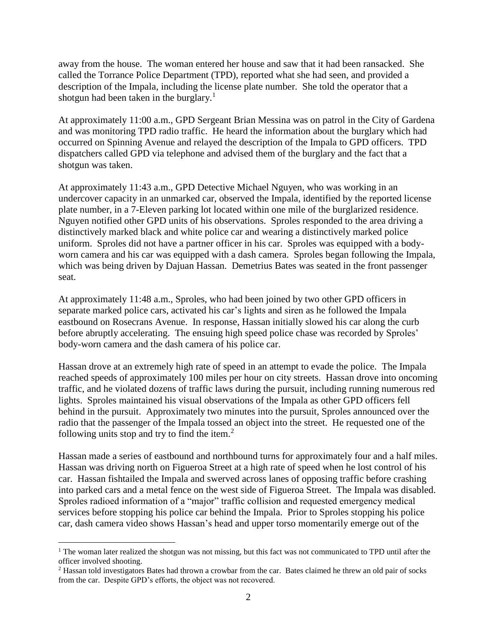away from the house. The woman entered her house and saw that it had been ransacked. She called the Torrance Police Department (TPD), reported what she had seen, and provided a description of the Impala, including the license plate number. She told the operator that a shotgun had been taken in the burglary.<sup>1</sup>

At approximately 11:00 a.m., GPD Sergeant Brian Messina was on patrol in the City of Gardena and was monitoring TPD radio traffic. He heard the information about the burglary which had occurred on Spinning Avenue and relayed the description of the Impala to GPD officers. TPD dispatchers called GPD via telephone and advised them of the burglary and the fact that a shotgun was taken.

At approximately 11:43 a.m., GPD Detective Michael Nguyen, who was working in an undercover capacity in an unmarked car, observed the Impala, identified by the reported license plate number, in a 7-Eleven parking lot located within one mile of the burglarized residence. Nguyen notified other GPD units of his observations. Sproles responded to the area driving a distinctively marked black and white police car and wearing a distinctively marked police uniform. Sproles did not have a partner officer in his car. Sproles was equipped with a bodyworn camera and his car was equipped with a dash camera. Sproles began following the Impala, which was being driven by Dajuan Hassan. Demetrius Bates was seated in the front passenger seat.

At approximately 11:48 a.m., Sproles, who had been joined by two other GPD officers in separate marked police cars, activated his car's lights and siren as he followed the Impala eastbound on Rosecrans Avenue. In response, Hassan initially slowed his car along the curb before abruptly accelerating. The ensuing high speed police chase was recorded by Sproles' body-worn camera and the dash camera of his police car.

Hassan drove at an extremely high rate of speed in an attempt to evade the police. The Impala reached speeds of approximately 100 miles per hour on city streets. Hassan drove into oncoming traffic, and he violated dozens of traffic laws during the pursuit, including running numerous red lights. Sproles maintained his visual observations of the Impala as other GPD officers fell behind in the pursuit. Approximately two minutes into the pursuit, Sproles announced over the radio that the passenger of the Impala tossed an object into the street. He requested one of the following units stop and try to find the item.<sup>2</sup>

Hassan made a series of eastbound and northbound turns for approximately four and a half miles. Hassan was driving north on Figueroa Street at a high rate of speed when he lost control of his car. Hassan fishtailed the Impala and swerved across lanes of opposing traffic before crashing into parked cars and a metal fence on the west side of Figueroa Street. The Impala was disabled. Sproles radioed information of a "major" traffic collision and requested emergency medical services before stopping his police car behind the Impala. Prior to Sproles stopping his police car, dash camera video shows Hassan's head and upper torso momentarily emerge out of the

 $\overline{a}$ 

 $<sup>1</sup>$  The woman later realized the shotgun was not missing, but this fact was not communicated to TPD until after the</sup> officer involved shooting.

<sup>&</sup>lt;sup>2</sup> Hassan told investigators Bates had thrown a crowbar from the car. Bates claimed he threw an old pair of socks from the car. Despite GPD's efforts, the object was not recovered.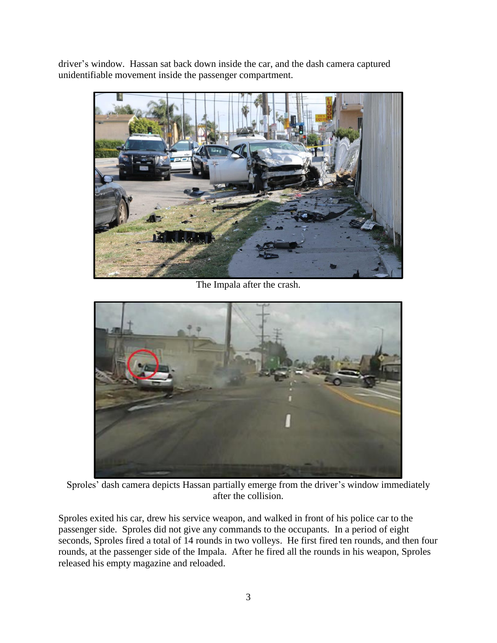driver's window. Hassan sat back down inside the car, and the dash camera captured unidentifiable movement inside the passenger compartment.



The Impala after the crash.



Sproles' dash camera depicts Hassan partially emerge from the driver's window immediately after the collision.

Sproles exited his car, drew his service weapon, and walked in front of his police car to the passenger side. Sproles did not give any commands to the occupants. In a period of eight seconds, Sproles fired a total of 14 rounds in two volleys. He first fired ten rounds, and then four rounds, at the passenger side of the Impala. After he fired all the rounds in his weapon, Sproles released his empty magazine and reloaded.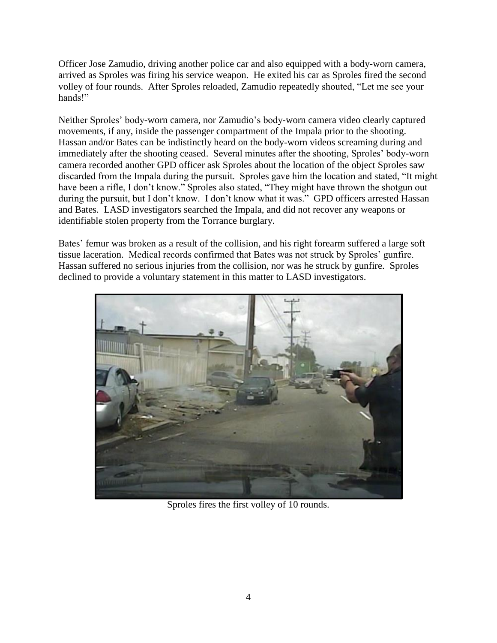Officer Jose Zamudio, driving another police car and also equipped with a body-worn camera, arrived as Sproles was firing his service weapon. He exited his car as Sproles fired the second volley of four rounds. After Sproles reloaded, Zamudio repeatedly shouted, "Let me see your hands!"

Neither Sproles' body-worn camera, nor Zamudio's body-worn camera video clearly captured movements, if any, inside the passenger compartment of the Impala prior to the shooting. Hassan and/or Bates can be indistinctly heard on the body-worn videos screaming during and immediately after the shooting ceased. Several minutes after the shooting, Sproles' body-worn camera recorded another GPD officer ask Sproles about the location of the object Sproles saw discarded from the Impala during the pursuit. Sproles gave him the location and stated, "It might have been a rifle, I don't know." Sproles also stated, "They might have thrown the shotgun out during the pursuit, but I don't know. I don't know what it was." GPD officers arrested Hassan and Bates. LASD investigators searched the Impala, and did not recover any weapons or identifiable stolen property from the Torrance burglary.

Bates' femur was broken as a result of the collision, and his right forearm suffered a large soft tissue laceration. Medical records confirmed that Bates was not struck by Sproles' gunfire. Hassan suffered no serious injuries from the collision, nor was he struck by gunfire. Sproles declined to provide a voluntary statement in this matter to LASD investigators.



Sproles fires the first volley of 10 rounds.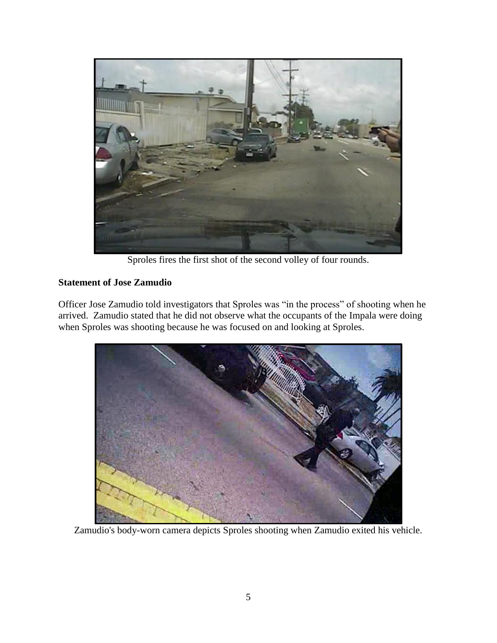

Sproles fires the first shot of the second volley of four rounds.

### **Statement of Jose Zamudio**

Officer Jose Zamudio told investigators that Sproles was "in the process" of shooting when he arrived. Zamudio stated that he did not observe what the occupants of the Impala were doing when Sproles was shooting because he was focused on and looking at Sproles.



Zamudio's body-worn camera depicts Sproles shooting when Zamudio exited his vehicle.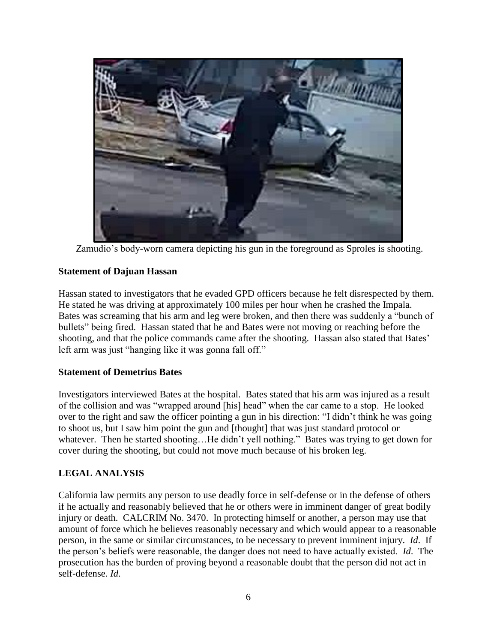

Zamudio's body-worn camera depicting his gun in the foreground as Sproles is shooting.

#### **Statement of Dajuan Hassan**

Hassan stated to investigators that he evaded GPD officers because he felt disrespected by them. He stated he was driving at approximately 100 miles per hour when he crashed the Impala. Bates was screaming that his arm and leg were broken, and then there was suddenly a "bunch of bullets" being fired. Hassan stated that he and Bates were not moving or reaching before the shooting, and that the police commands came after the shooting. Hassan also stated that Bates' left arm was just "hanging like it was gonna fall off."

### **Statement of Demetrius Bates**

Investigators interviewed Bates at the hospital. Bates stated that his arm was injured as a result of the collision and was "wrapped around [his] head" when the car came to a stop. He looked over to the right and saw the officer pointing a gun in his direction: "I didn't think he was going to shoot us, but I saw him point the gun and [thought] that was just standard protocol or whatever. Then he started shooting...He didn't yell nothing." Bates was trying to get down for cover during the shooting, but could not move much because of his broken leg.

### **LEGAL ANALYSIS**

California law permits any person to use deadly force in self-defense or in the defense of others if he actually and reasonably believed that he or others were in imminent danger of great bodily injury or death. CALCRIM No. 3470. In protecting himself or another, a person may use that amount of force which he believes reasonably necessary and which would appear to a reasonable person, in the same or similar circumstances, to be necessary to prevent imminent injury. *Id*. If the person's beliefs were reasonable, the danger does not need to have actually existed. *Id*. The prosecution has the burden of proving beyond a reasonable doubt that the person did not act in self-defense. *Id*.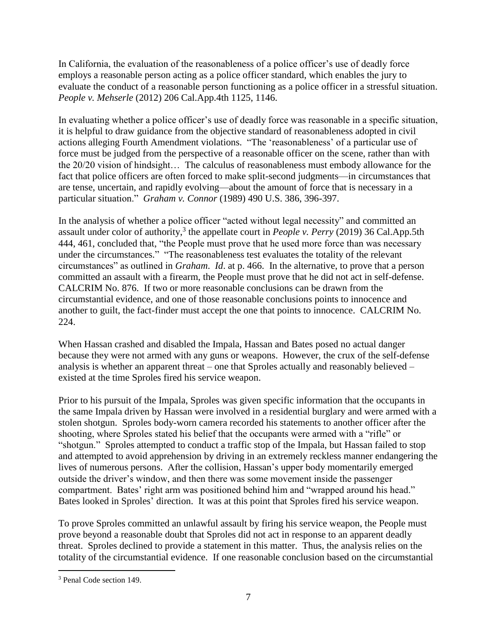In California, the evaluation of the reasonableness of a police officer's use of deadly force employs a reasonable person acting as a police officer standard, which enables the jury to evaluate the conduct of a reasonable person functioning as a police officer in a stressful situation. *People v. Mehserle* (2012) 206 Cal.App.4th 1125, 1146.

In evaluating whether a police officer's use of deadly force was reasonable in a specific situation, it is helpful to draw guidance from the objective standard of reasonableness adopted in civil actions alleging Fourth Amendment violations. "The 'reasonableness' of a particular use of force must be judged from the perspective of a reasonable officer on the scene, rather than with the 20/20 vision of hindsight… The calculus of reasonableness must embody allowance for the fact that police officers are often forced to make split-second judgments—in circumstances that are tense, uncertain, and rapidly evolving—about the amount of force that is necessary in a particular situation." *Graham v. Connor* (1989) 490 U.S. 386, 396-397.

In the analysis of whether a police officer "acted without legal necessity" and committed an assault under color of authority, 3 the appellate court in *People v. Perry* (2019) 36 Cal.App.5th 444, 461, concluded that, "the People must prove that he used more force than was necessary under the circumstances." "The reasonableness test evaluates the totality of the relevant circumstances" as outlined in *Graham*. *Id*. at p. 466. In the alternative, to prove that a person committed an assault with a firearm, the People must prove that he did not act in self-defense. CALCRIM No. 876. If two or more reasonable conclusions can be drawn from the circumstantial evidence, and one of those reasonable conclusions points to innocence and another to guilt, the fact-finder must accept the one that points to innocence. CALCRIM No. 224.

When Hassan crashed and disabled the Impala, Hassan and Bates posed no actual danger because they were not armed with any guns or weapons. However, the crux of the self-defense analysis is whether an apparent threat – one that Sproles actually and reasonably believed – existed at the time Sproles fired his service weapon.

Prior to his pursuit of the Impala, Sproles was given specific information that the occupants in the same Impala driven by Hassan were involved in a residential burglary and were armed with a stolen shotgun. Sproles body-worn camera recorded his statements to another officer after the shooting, where Sproles stated his belief that the occupants were armed with a "rifle" or "shotgun." Sproles attempted to conduct a traffic stop of the Impala, but Hassan failed to stop and attempted to avoid apprehension by driving in an extremely reckless manner endangering the lives of numerous persons. After the collision, Hassan's upper body momentarily emerged outside the driver's window, and then there was some movement inside the passenger compartment. Bates' right arm was positioned behind him and "wrapped around his head." Bates looked in Sproles' direction. It was at this point that Sproles fired his service weapon.

To prove Sproles committed an unlawful assault by firing his service weapon, the People must prove beyond a reasonable doubt that Sproles did not act in response to an apparent deadly threat. Sproles declined to provide a statement in this matter. Thus, the analysis relies on the totality of the circumstantial evidence. If one reasonable conclusion based on the circumstantial

 $\overline{a}$ 

<sup>3</sup> Penal Code section 149.